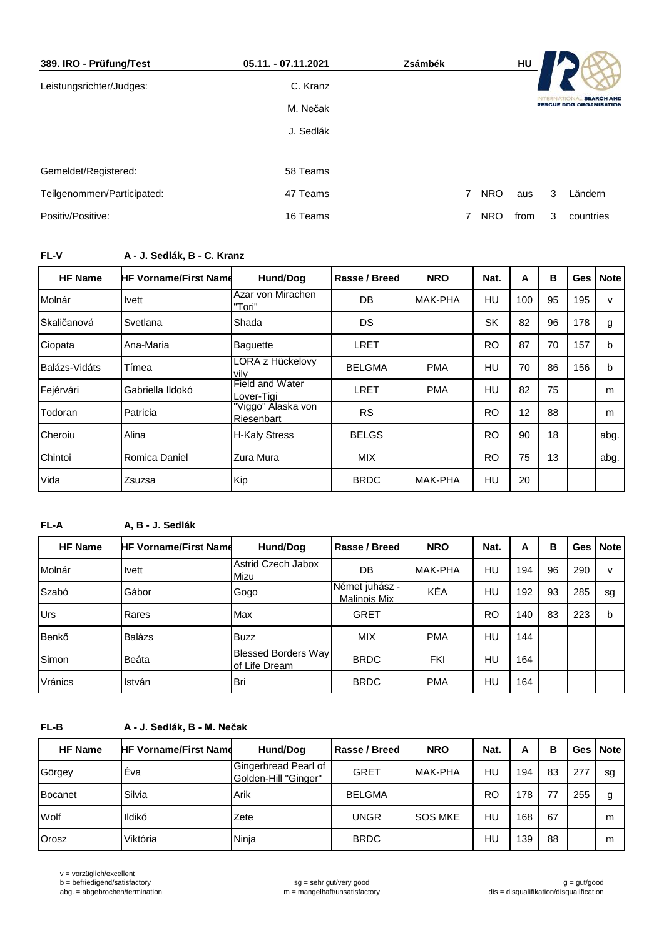| 389. IRO - Prüfung/Test    | 05.11. - 07.11.2021 | Zsámbék        |            | HU   |                 |                                                     |
|----------------------------|---------------------|----------------|------------|------|-----------------|-----------------------------------------------------|
| Leistungsrichter/Judges:   | C. Kranz            |                |            |      |                 |                                                     |
|                            | M. Nečak            |                |            |      | <b>INTERNAT</b> | <b>SEARCH AND</b><br><b>RESCUE DOG ORGANISATION</b> |
|                            | J. Sedlák           |                |            |      |                 |                                                     |
|                            |                     |                |            |      |                 |                                                     |
| Gemeldet/Registered:       | 58 Teams            |                |            |      |                 |                                                     |
| Teilgenommen/Participated: | 47 Teams            | $\overline{7}$ | <b>NRO</b> | aus  | 3               | Ländern                                             |
| Positiv/Positive:          | 16 Teams            | 7              | <b>NRO</b> | from | 3               | countries                                           |

# **FL-V A - J. Sedlák, B - C. Kranz**

| <b>HF Name</b> | <b>HF Vorname/First Name</b> | Hund/Dog                         | Rasse / Breed | <b>NRO</b>     | Nat.      | A   | в  | Ges I | <b>Note</b>  |
|----------------|------------------------------|----------------------------------|---------------|----------------|-----------|-----|----|-------|--------------|
| Molnár         | <b>Ivett</b>                 | Azar von Mirachen<br>"Tori"      | DB            | MAK-PHA        | HU        | 100 | 95 | 195   | $\mathsf{v}$ |
| Skaličanová    | Svetlana                     | Shada                            | DS.           |                | <b>SK</b> | 82  | 96 | 178   | g            |
| Ciopata        | Ana-Maria                    | <b>Baquette</b>                  | LRET          |                | <b>RO</b> | 87  | 70 | 157   | b            |
| Balázs-Vidáts  | Tímea                        | LORA z Hückelovy<br>vilv         | <b>BELGMA</b> | <b>PMA</b>     | HU        | 70  | 86 | 156   | b            |
| Fejérvári      | Gabriella Ildokó             | Field and Water<br>Lover-Tiai    | LRET          | <b>PMA</b>     | HU        | 82  | 75 |       | m            |
| Todoran        | Patricia                     | "Viggo" Alaska von<br>Riesenbart | <b>RS</b>     |                | <b>RO</b> | 12  | 88 |       | m            |
| Cheroiu        | Alina                        | <b>H-Kaly Stress</b>             | <b>BELGS</b>  |                | <b>RO</b> | 90  | 18 |       | abg.         |
| Chintoi        | Romica Daniel                | Zura Mura                        | <b>MIX</b>    |                | <b>RO</b> | 75  | 13 |       | abg.         |
| Vida           | <b>Zsuzsa</b>                | Kip                              | <b>BRDC</b>   | <b>MAK-PHA</b> | HU        | 20  |    |       |              |

# **FL-A A, B - J. Sedlák**

| A. D - J. Seulan |                            |                                       |                            |           |     |    |     |             |
|------------------|----------------------------|---------------------------------------|----------------------------|-----------|-----|----|-----|-------------|
|                  | Hund/Dog                   | Rasse / Breed                         | <b>NRO</b>                 | Nat.      | A   | B  | Ges | <b>Note</b> |
| <b>Ivett</b>     | Astrid Czech Jabox<br>Mizu | DB                                    | <b>MAK-PHA</b>             | HU.       | 194 | 96 | 290 | v           |
| Gábor            | Gogo                       | Német juhász -<br><b>Malinois Mix</b> | KÉA                        | HU.       | 192 | 93 | 285 | sg          |
| Rares            |                            | <b>GRET</b>                           |                            | <b>RO</b> | 140 | 83 | 223 | b           |
| <b>Balázs</b>    | <b>Buzz</b>                | <b>MIX</b>                            | <b>PMA</b>                 | HU.       | 144 |    |     |             |
| Beáta            | lof Life Dream             | <b>BRDC</b>                           | <b>FKI</b>                 | HU.       | 164 |    |     |             |
| István           | Bri                        | <b>BRDC</b>                           | <b>PMA</b>                 | HU        | 164 |    |     |             |
|                  |                            | <b>HF Vorname/First Name</b><br>Max   | <b>Blessed Borders Way</b> |           |     |    |     |             |

# **FL-B A - J. Sedlák, B - M. Nečak**

| <b>HF Name</b> | <b>HF Vorname/First Name</b> | Hund/Dog                                     | Rasse / Breed | <b>NRO</b>     | Nat.      | А   | в  |     | Ges   Note |
|----------------|------------------------------|----------------------------------------------|---------------|----------------|-----------|-----|----|-----|------------|
| Görgey         | Éva                          | Gingerbread Pearl of<br>Golden-Hill "Ginger" | <b>GRET</b>   | <b>MAK-PHA</b> | HU        | 194 | 83 | 277 | sg         |
| Bocanet        | Silvia                       | Arik                                         | <b>BELGMA</b> |                | <b>RO</b> | 178 |    | 255 | g          |
| Wolf           | Ildikó                       | Zete                                         | UNGR          | <b>SOS MKE</b> | HU        | 168 | 67 |     | m          |
| Orosz          | Viktória                     | Ninja                                        | <b>BRDC</b>   |                | HU        | 139 | 88 |     | m          |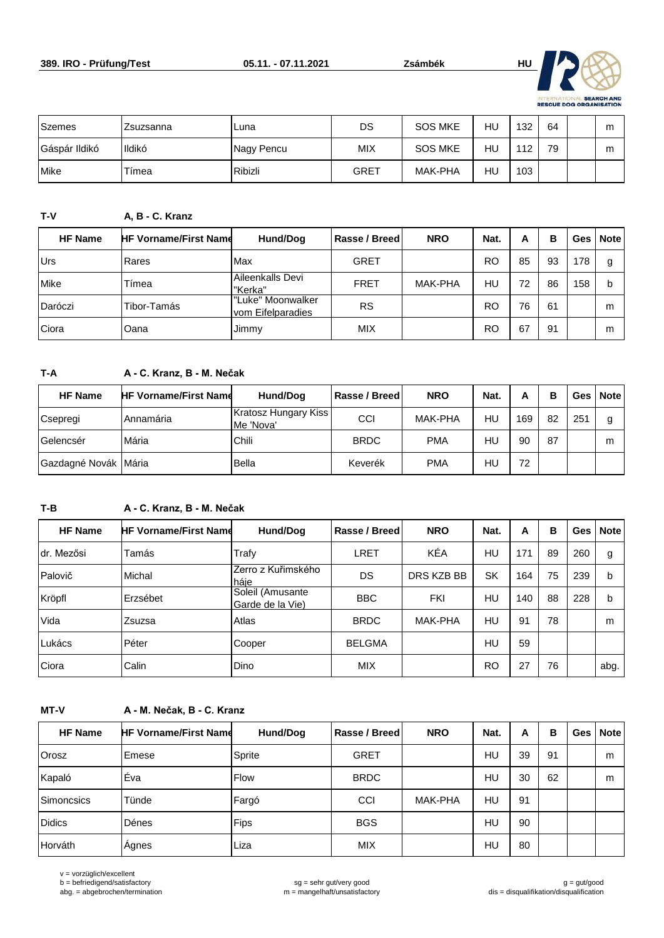

| <b>Szemes</b> | Zsuzsanna | Luna       | DS         | <b>SOS MKE</b> | HU | 132 | 64 | m |
|---------------|-----------|------------|------------|----------------|----|-----|----|---|
| Gáspár Ildikó | Ildikó    | Nagy Pencu | <b>MIX</b> | <b>SOS MKE</b> | HU | 112 | 79 | m |
| <b>Mike</b>   | Tímea     | Ribizli    | GRET       | <b>MAK-PHA</b> | HU | 103 |    |   |

### **T-V A, B - C. Kranz**

| <b>HF Name</b> | <b>HF Vorname/First Name</b> | Hund/Dog                               | Rasse / Breed | <b>NRO</b> | Nat. | А  | в  |     | Ges   Note |
|----------------|------------------------------|----------------------------------------|---------------|------------|------|----|----|-----|------------|
| Urs            | Rares                        | Max                                    | <b>GRET</b>   |            | RO   | 85 | 93 | 178 | g          |
| Mike           | Tímea                        | Aileenkalls Devi<br>"Kerka"            | <b>FRET</b>   | MAK-PHA    | HU   | 72 | 86 | 158 | b          |
| Daróczi        | Tibor-Tamás                  | "Luke" Moonwalker<br>vom Eifelparadies | <b>RS</b>     |            | RO   | 76 | 61 |     | m          |
| Ciora          | Oana                         | Jimmy                                  | <b>MIX</b>    |            | RO   | 67 | 91 |     | m          |

### **T-A A - C. Kranz, B - M. Nečak**

| <b>HF Name</b>       | <b>HF Vorname/First Name</b> | Hund/Dog                          | Rasse / Breed | <b>NRO</b> | Nat. | А   | в  |     | Ges   Note |
|----------------------|------------------------------|-----------------------------------|---------------|------------|------|-----|----|-----|------------|
| Csepregi             | Annamária                    | Kratosz Hungary Kiss<br>Me 'Nova' | CCI           | MAK-PHA    | HU   | 169 | 82 | 251 | g          |
| Gelencsér            | Mária                        | Chili                             | <b>BRDC</b>   | <b>PMA</b> | HU   | 90  | 87 |     | m          |
| Gazdagné Novák Mária |                              | Bella                             | Keverék       | <b>PMA</b> | HU   | 72  |    |     |            |

### **T-B A - C. Kranz, B - M. Nečak**

| <b>HF Name</b> | <b>HF Vorname/First Name</b> | Hund/Dog                             | Rasse / Breed | <b>NRO</b>     | Nat.      | A   | в  |     | Ges   Note |
|----------------|------------------------------|--------------------------------------|---------------|----------------|-----------|-----|----|-----|------------|
| Idr. Mezősi    | Tamás                        | Trafy                                | LRET          | KÉA            | HU        | 171 | 89 | 260 | g          |
| Palovič        | Michal                       | Zerro z Kuřimského<br>háje           | DS            | DRS KZB BB     | <b>SK</b> | 164 | 75 | 239 | b          |
| Kröpfl         | Erzsébet                     | Soleil (Amusante<br>Garde de la Vie) | <b>BBC</b>    | FKI            | HU        | 140 | 88 | 228 | b          |
| Vida           | Zsuzsa                       | Atlas                                | <b>BRDC</b>   | <b>MAK-PHA</b> | HU        | 91  | 78 |     | m          |
| Lukács         | Péter                        | Cooper                               | <b>BELGMA</b> |                | HU        | 59  |    |     |            |
| Ciora          | Calin                        | Dino                                 | <b>MIX</b>    |                | <b>RO</b> | 27  | 76 |     | abg.       |

#### **MT-V A - M. Nečak, B - C. Kranz**

| <b>HF Name</b> | <b>HF Vorname/First Name</b> | Hund/Dog    | Rasse / Breed | <b>NRO</b>     | Nat. | A  | в  | Ges | <b>Note</b> |
|----------------|------------------------------|-------------|---------------|----------------|------|----|----|-----|-------------|
| Orosz          | Emese                        | Sprite      | <b>GRET</b>   |                | HU   | 39 | 91 |     | m           |
| Kapaló         | Éva                          | <b>Flow</b> | <b>BRDC</b>   |                | HU   | 30 | 62 |     | m           |
| Simoncsics     | Tünde                        | Fargó       | CCI           | <b>MAK-PHA</b> | HU   | 91 |    |     |             |
| <b>Didics</b>  | Dénes                        | Fips        | <b>BGS</b>    |                | HU   | 90 |    |     |             |
| Horváth        | Agnes                        | Liza        | <b>MIX</b>    |                | HU   | 80 |    |     |             |